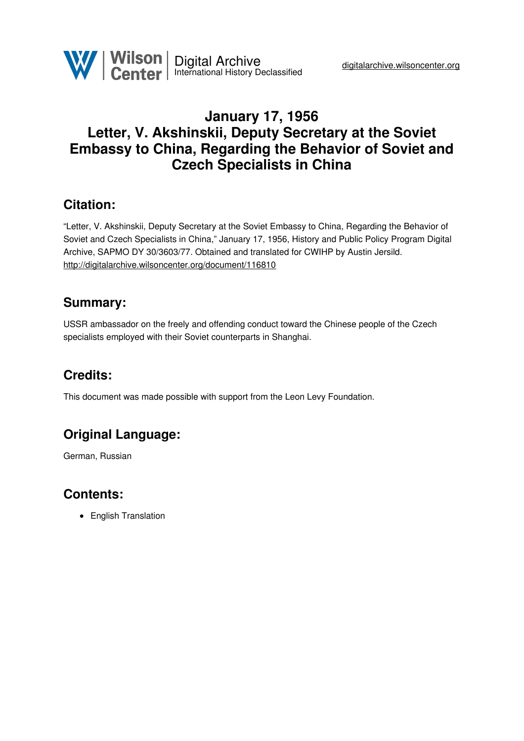

## **January 17, 1956 Letter, V. Akshinskii, Deputy Secretary at the Soviet Embassy to China, Regarding the Behavior of Soviet and Czech Specialists in China**

### **Citation:**

"Letter, V. Akshinskii, Deputy Secretary at the Soviet Embassy to China, Regarding the Behavior of Soviet and Czech Specialists in China," January 17, 1956, History and Public Policy Program Digital Archive, SAPMO DY 30/3603/77. Obtained and translated for CWIHP by Austin Jersild. <http://digitalarchive.wilsoncenter.org/document/116810>

### **Summary:**

USSR ambassador on the freely and offending conduct toward the Chinese people of the Czech specialists employed with their Soviet counterparts in Shanghai.

# **Credits:**

This document was made possible with support from the Leon Levy Foundation.

# **Original Language:**

German, Russian

### **Contents:**

• English Translation